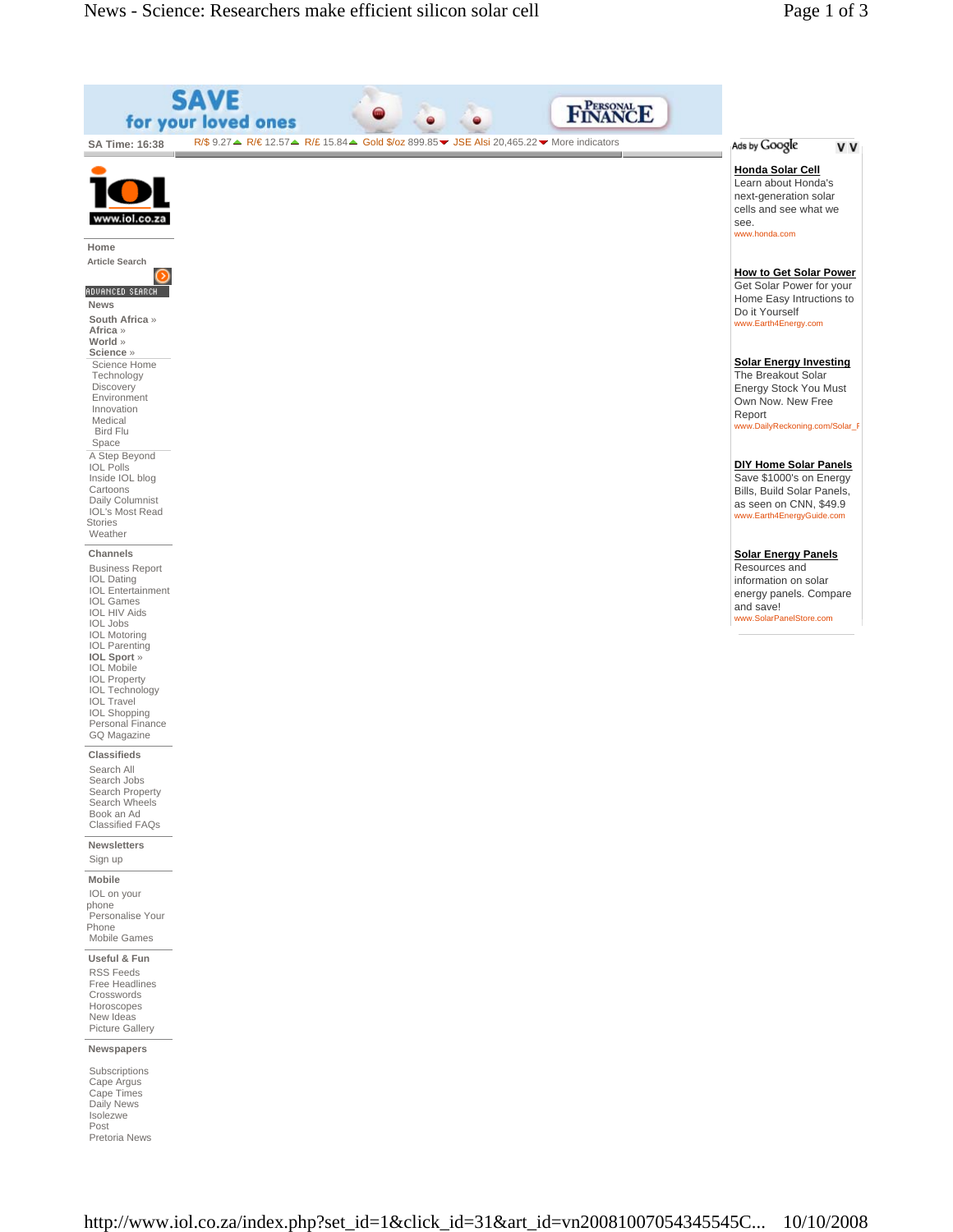| S                                                                                                                                                                                                                                                                                                                                                                   | AVE<br>for your loved ones                                                                                                                                              | <b>FINANCE</b> |                                                                                                                                               |
|---------------------------------------------------------------------------------------------------------------------------------------------------------------------------------------------------------------------------------------------------------------------------------------------------------------------------------------------------------------------|-------------------------------------------------------------------------------------------------------------------------------------------------------------------------|----------------|-----------------------------------------------------------------------------------------------------------------------------------------------|
| SA Time: 16:38                                                                                                                                                                                                                                                                                                                                                      | $R/\$$ 9.27 $\triangleq$ R/ $\epsilon$ 12.57 $\triangleq$ R/£ 15.84 $\triangleq$ Gold \$/oz 899.85 $\triangleright$ JSE Alsi 20,465.22 $\triangleright$ More indicators |                | Ads by Google<br>v v                                                                                                                          |
| www.iol.co.za<br>Home                                                                                                                                                                                                                                                                                                                                               |                                                                                                                                                                         |                | <b>Honda Solar Cell</b><br>Learn about Honda's<br>next-generation solar<br>cells and see what we<br>see.<br>www.honda.com                     |
| <b>Article Search</b><br>ADVANCED SEARCH<br><b>News</b><br>South Africa »                                                                                                                                                                                                                                                                                           |                                                                                                                                                                         |                | <b>How to Get Solar Power</b><br>Get Solar Power for your<br>Home Easy Intructions to<br>Do it Yourself<br>www.Earth4Energy.com               |
| Africa »<br>World »<br>Science »<br>Science Home<br>Technology<br>Discovery<br>Environment<br>Innovation<br>Medical<br><b>Bird Flu</b>                                                                                                                                                                                                                              |                                                                                                                                                                         |                | <b>Solar Energy Investing</b><br>The Breakout Solar<br>Energy Stock You Must<br>Own Now. New Free<br>Report<br>www.DailyReckoning.com/Solar_F |
| Space<br>A Step Beyond<br><b>IOL Polls</b><br>Inside IOL blog<br>Cartoons<br>Daily Columnist<br><b>IOL's Most Read</b><br><b>Stories</b><br>Weather                                                                                                                                                                                                                 |                                                                                                                                                                         |                | <b>DIY Home Solar Panels</b><br>Save \$1000's on Energy<br>Bills, Build Solar Panels,<br>as seen on CNN, \$49.9<br>www.Earth4EnergyGuide.com  |
| Channels<br><b>Business Report</b><br><b>IOL</b> Dating<br><b>IOL</b> Entertainment<br><b>IOL Games</b><br><b>IOL HIV Aids</b><br><b>IOL Jobs</b><br><b>IOL Motoring</b><br><b>IOL Parenting</b><br>IOL Sport »<br><b>IOL Mobile</b><br><b>IOL Property</b><br><b>IOL Technology</b><br><b>IOL Travel</b><br><b>IOL Shopping</b><br>Personal Finance<br>GQ Magazine |                                                                                                                                                                         |                | <b>Solar Energy Panels</b><br>Resources and<br>information on solar<br>energy panels. Compare<br>and save!<br>www.SolarPanelStore.com         |
| <b>Classifieds</b><br>Search All<br>Search Jobs<br>Search Property<br>Search Wheels<br>Book an Ad<br>Classified FAQs                                                                                                                                                                                                                                                |                                                                                                                                                                         |                |                                                                                                                                               |
| Newsletters<br>Sign up                                                                                                                                                                                                                                                                                                                                              |                                                                                                                                                                         |                |                                                                                                                                               |
| Mobile<br>IOL on your<br>phone<br>Personalise Your<br>Phone<br>Mobile Games                                                                                                                                                                                                                                                                                         |                                                                                                                                                                         |                |                                                                                                                                               |
| Useful & Fun<br><b>RSS Feeds</b><br>Free Headlines<br>Crosswords<br>Horoscopes<br>New Ideas<br>Picture Gallery                                                                                                                                                                                                                                                      |                                                                                                                                                                         |                |                                                                                                                                               |
| Newspapers                                                                                                                                                                                                                                                                                                                                                          |                                                                                                                                                                         |                |                                                                                                                                               |
| Subscriptions<br>Cape Argus<br>Cape Times<br>Daily News<br>Isolezwe<br>Post<br>Pretoria News                                                                                                                                                                                                                                                                        |                                                                                                                                                                         |                |                                                                                                                                               |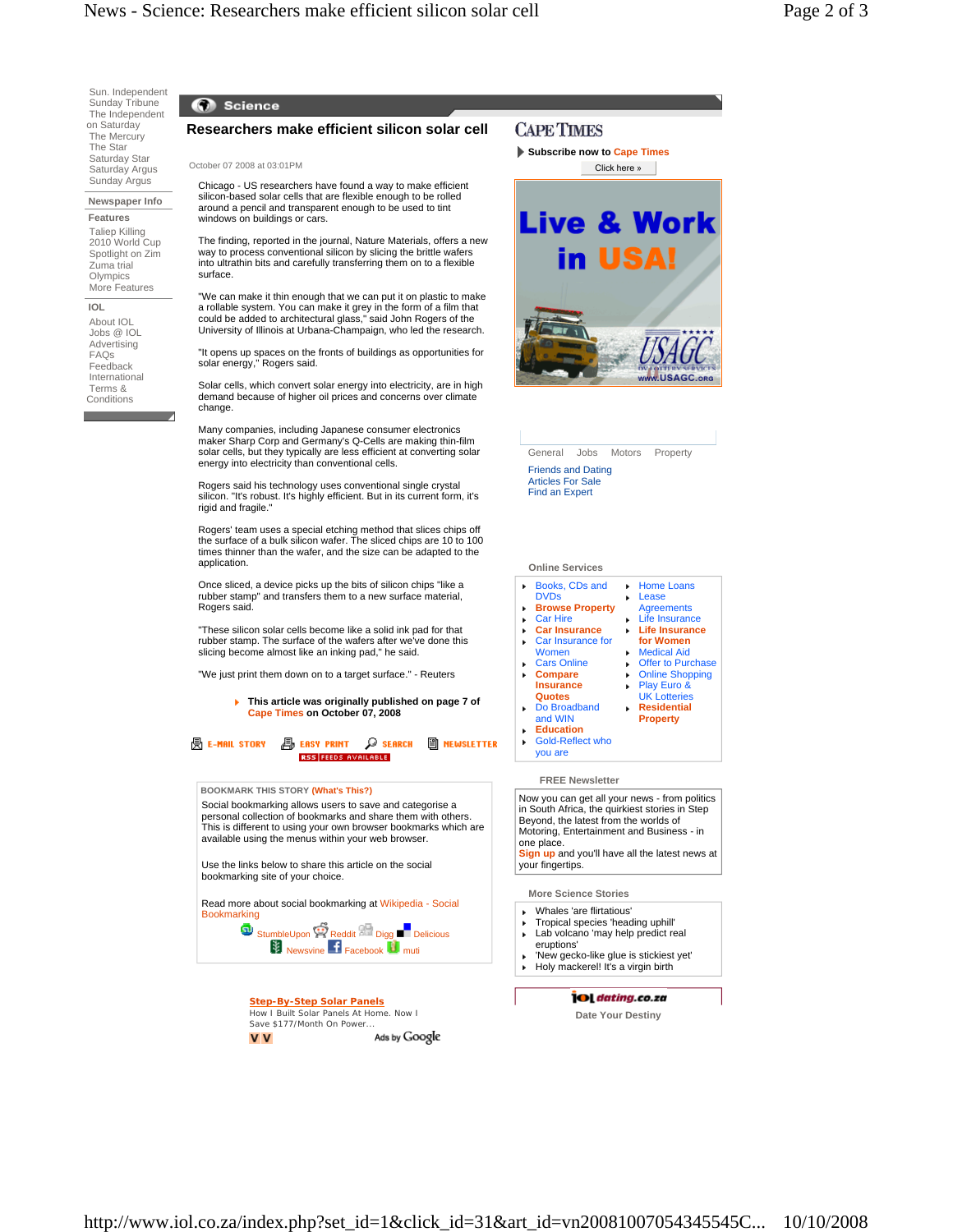Sun. Independent Sunday Tribune The Independent on Saturday The Mercury The Star Saturday Star Saturday Argus Sunday Argus

**Newspaper Info Features**

 Taliep Killing 2010 World Cup Spotlight on Zim Zuma trial **Olympics** More Features

**IOL** About IOL Jobs @ IOL Advertising FAQs **Feedback**  International Terms & **Conditions** 

# C Science

# **Researchers make efficient silicon solar cell**

October 07 2008 at 03:01PM

Chicago - US researchers have found a way to make efficient silicon-based solar cells that are flexible enough to be rolled around a pencil and transparent enough to be used to tint windows on buildings or cars.

The finding, reported in the journal, Nature Materials, offers a new way to process conventional silicon by slicing the brittle wafers into ultrathin bits and carefully transferring them on to a flexible surface.

"We can make it thin enough that we can put it on plastic to make a rollable system. You can make it grey in the form of a film that could be added to architectural glass," said John Rogers of the University of Illinois at Urbana-Champaign, who led the research.

"It opens up spaces on the fronts of buildings as opportunities for solar energy," Rogers said.

Solar cells, which convert solar energy into electricity, are in high demand because of higher oil prices and concerns over climate change.

Many companies, including Japanese consumer electronics maker Sharp Corp and Germany's Q-Cells are making thin-film solar cells, but they typically are less efficient at converting solar energy into electricity than conventional cells.

Rogers said his technology uses conventional single crystal silicon. "It's robust. It's highly efficient. But in its current form, it's rigid and fragile."

Rogers' team uses a special etching method that slices chips off the surface of a bulk silicon wafer. The sliced chips are 10 to 100 times thinner than the wafer, and the size can be adapted to the application.

Once sliced, a device picks up the bits of silicon chips "like a rubber stamp" and transfers them to a new surface material, Rogers said.

"These silicon solar cells become like a solid ink pad for that rubber stamp. The surface of the wafers after we've done this slicing become almost like an inking pad," he said.

"We just print them down on to a target surface." - Reuters

# **This article was originally published on page 7 of Cape Times on October 07, 2008**

**A EASY PRINT D SEARCH A MEWSLETTER**  $\mathbb{B}$  E-mail story **RSS FEEDS AVAILABLE** 

### **BOOKMARK THIS STORY (What's This?)**

Social bookmarking allows users to save and categorise a personal collection of bookmarks and share them with others. This is different to using your own browser bookmarks which are available using the menus within your web browser.

Use the links below to share this article on the social bookmarking site of your choice.

Read more about social bookmarking at Wikipedia - Social **Bookmarking** 

**StumbleUpon** Reddit <sup>DEL</sup> Digg **Delicious Newsvine F** Facebook **I** muti

> **Step-By-Step Solar Panels** How I Built Solar Panels At Home. Now I Save \$177/Month On Power...<br> **V** Ads by Google **V** V

# **CAPE TIMES**

**Subscribe now to Cape Times**



General Jobs Motors Property

Friends and Dating Articles For Sale Find an Expert

# **Online Services**

Books, CDs and  $\mathbf{F}$ Home Loans Lease DVDs

 $\mathbf{r}$ 

k. ×.

×.

Life Insurance **Life Insurance for Women** Medical Aid **Offer to Purchase** Online Shopping Play Euro & UK Lotteries **Residential Property**

- **Browse Property Agreements**
- Car Hire
- **Car Insurance**  $\mathbf{r}$
- Car Insurance for ¥
- Women
- Cars Online
- **Compare**
- **Insurance Quotes**
- Do Broadband ¥.
- and WIN
- **Education**
- Gold-Reflect who you are

# **FREE Newsletter**

Now you can get all your news - from politics in South Africa, the quirkiest stories in Step Beyond, the latest from the worlds of Motoring, Entertainment and Business - in one place.

up and you'll have all the latest news at your fingertips.

# **More Science Stories**

- Whales 'are flirtatious'
- Tropical species 'heading uphill' Lab volcano 'may help predict real
- eruptions' 'New gecko-like glue is stickiest yet'
- Holy mackerel! It's a virgin birth

# **OL** dating.co.za

**Date Your Destiny**